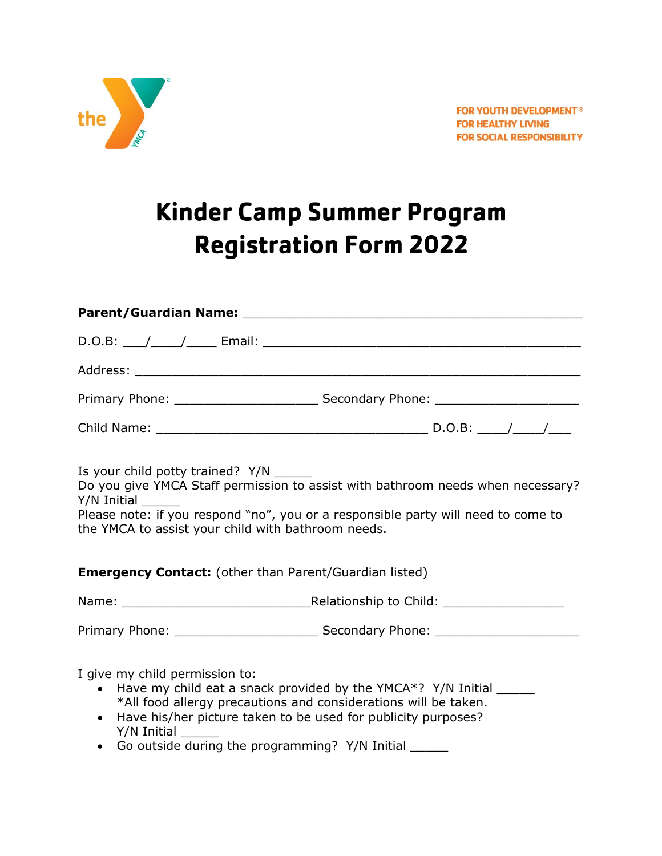

# **Kinder Camp Summer Program Registration Form 2022**

| Parent/Guardian Name: www.assett.com/www.assett.com/www.assett.com/www.assett.com                                                                                                                                                                                      |                                                                                                                                                                      |  |  |  |
|------------------------------------------------------------------------------------------------------------------------------------------------------------------------------------------------------------------------------------------------------------------------|----------------------------------------------------------------------------------------------------------------------------------------------------------------------|--|--|--|
|                                                                                                                                                                                                                                                                        |                                                                                                                                                                      |  |  |  |
|                                                                                                                                                                                                                                                                        |                                                                                                                                                                      |  |  |  |
|                                                                                                                                                                                                                                                                        |                                                                                                                                                                      |  |  |  |
|                                                                                                                                                                                                                                                                        |                                                                                                                                                                      |  |  |  |
| Is your child potty trained? Y/N ______<br>Y/N Initial<br>the YMCA to assist your child with bathroom needs.                                                                                                                                                           | Do you give YMCA Staff permission to assist with bathroom needs when necessary?<br>Please note: if you respond "no", you or a responsible party will need to come to |  |  |  |
| <b>Emergency Contact:</b> (other than Parent/Guardian listed)                                                                                                                                                                                                          |                                                                                                                                                                      |  |  |  |
|                                                                                                                                                                                                                                                                        |                                                                                                                                                                      |  |  |  |
|                                                                                                                                                                                                                                                                        |                                                                                                                                                                      |  |  |  |
| I give my child permission to:<br>$\bullet$<br>*All food allergy precautions and considerations will be taken.<br>Have his/her picture taken to be used for publicity purposes?<br>$\bullet$<br>Y/N Initial<br>• Go outside during the programming? Y/N Initial ______ | Have my child eat a snack provided by the YMCA*? Y/N Initial ______                                                                                                  |  |  |  |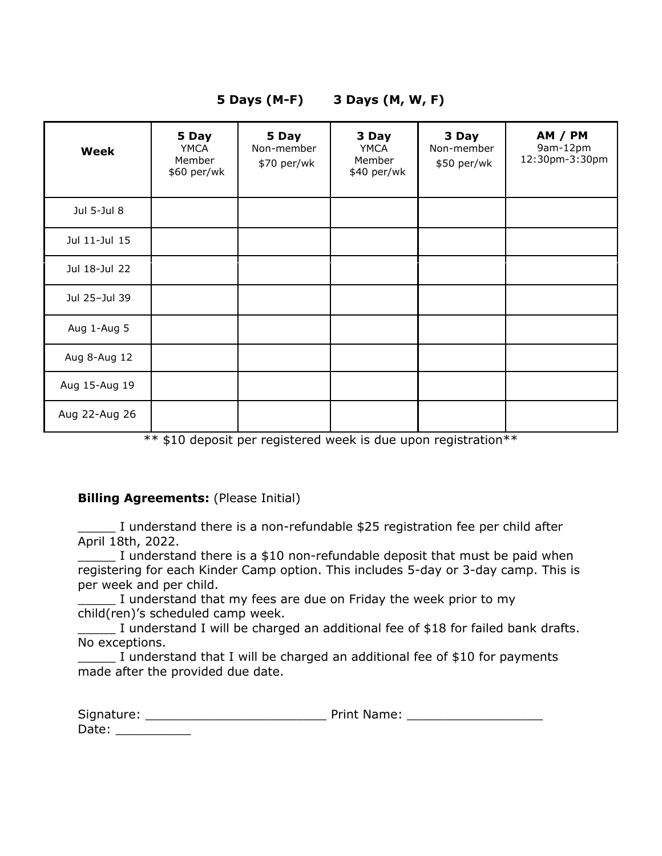| Week          | 5 Day<br>YMCA<br>Member<br>\$60 per/wk | 5 Day<br>Non-member<br>\$70 per/wk | 3 Day<br>YMCA<br>Member<br>\$40 per/wk | 3 Day<br>Non-member<br>\$50 per/wk | <b>AM / PM</b><br>9am-12pm<br>12:30pm-3:30pm |
|---------------|----------------------------------------|------------------------------------|----------------------------------------|------------------------------------|----------------------------------------------|
| Jul 5-Jul 8   |                                        |                                    |                                        |                                    |                                              |
| Jul 11-Jul 15 |                                        |                                    |                                        |                                    |                                              |
| Jul 18-Jul 22 |                                        |                                    |                                        |                                    |                                              |
| Jul 25-Jul 39 |                                        |                                    |                                        |                                    |                                              |
| Aug 1-Aug 5   |                                        |                                    |                                        |                                    |                                              |
| Aug 8-Aug 12  |                                        |                                    |                                        |                                    |                                              |
| Aug 15-Aug 19 |                                        |                                    |                                        |                                    |                                              |
| Aug 22-Aug 26 |                                        |                                    |                                        |                                    |                                              |

## **5 Days (M-F) 3 Days (M, W, F)**

\*\* \$10 deposit per registered week is due upon registration\*\*

#### **Billing Agreements:** (Please Initial)

\_\_\_\_\_ I understand there is a non-refundable \$25 registration fee per child after April 18th, 2022.

\_\_\_\_\_ I understand there is a \$10 non-refundable deposit that must be paid when registering for each Kinder Camp option. This includes 5-day or 3-day camp. This is per week and per child.

I understand that my fees are due on Friday the week prior to my child(ren)'s scheduled camp week.

I understand I will be charged an additional fee of \$18 for failed bank drafts. No exceptions.

\_\_\_\_\_ I understand that I will be charged an additional fee of \$10 for payments made after the provided due date.

| Signature: | <b>Print Name:</b> |  |
|------------|--------------------|--|
| Date:      |                    |  |